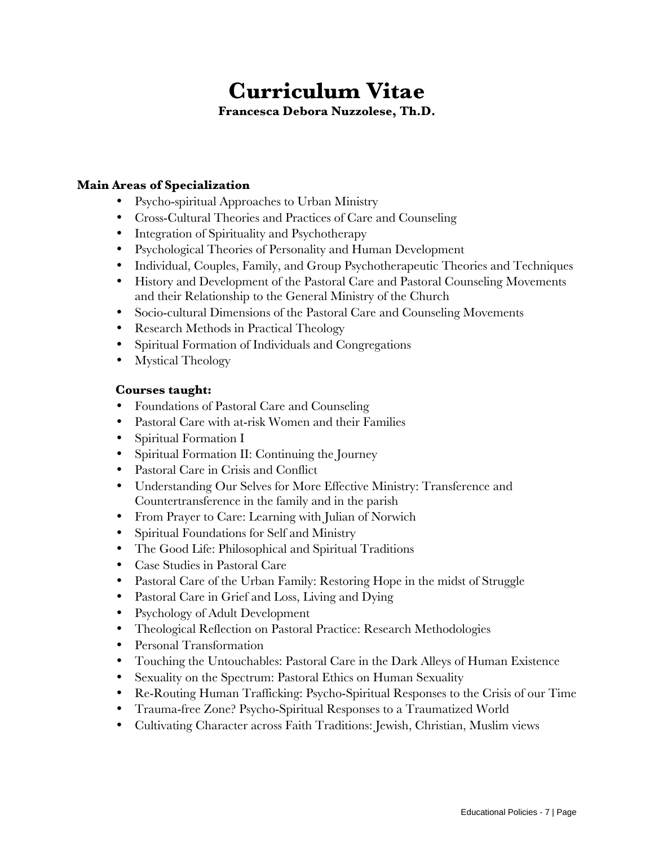# **Curriculum Vitae**

**Francesca Debora Nuzzolese, Th.D.** 

# **Main Areas of Specialization**

- Psycho-spiritual Approaches to Urban Ministry
- Cross-Cultural Theories and Practices of Care and Counseling
- Integration of Spirituality and Psychotherapy
- Psychological Theories of Personality and Human Development
- Individual, Couples, Family, and Group Psychotherapeutic Theories and Techniques
- History and Development of the Pastoral Care and Pastoral Counseling Movements and their Relationship to the General Ministry of the Church
- Socio-cultural Dimensions of the Pastoral Care and Counseling Movements
- Research Methods in Practical Theology
- Spiritual Formation of Individuals and Congregations
- Mystical Theology

# **Courses taught:**

- Foundations of Pastoral Care and Counseling
- Pastoral Care with at-risk Women and their Families
- Spiritual Formation I
- Spiritual Formation II: Continuing the Journey
- Pastoral Care in Crisis and Conflict
- Understanding Our Selves for More Effective Ministry: Transference and Countertransference in the family and in the parish
- From Prayer to Care: Learning with Julian of Norwich
- Spiritual Foundations for Self and Ministry
- The Good Life: Philosophical and Spiritual Traditions
- Case Studies in Pastoral Care
- Pastoral Care of the Urban Family: Restoring Hope in the midst of Struggle
- Pastoral Care in Grief and Loss, Living and Dying
- Psychology of Adult Development
- Theological Reflection on Pastoral Practice: Research Methodologies
- Personal Transformation
- Touching the Untouchables: Pastoral Care in the Dark Alleys of Human Existence
- Sexuality on the Spectrum: Pastoral Ethics on Human Sexuality
- Re-Routing Human Trafficking: Psycho-Spiritual Responses to the Crisis of our Time
- Trauma-free Zone? Psycho-Spiritual Responses to a Traumatized World
- Cultivating Character across Faith Traditions: Jewish, Christian, Muslim views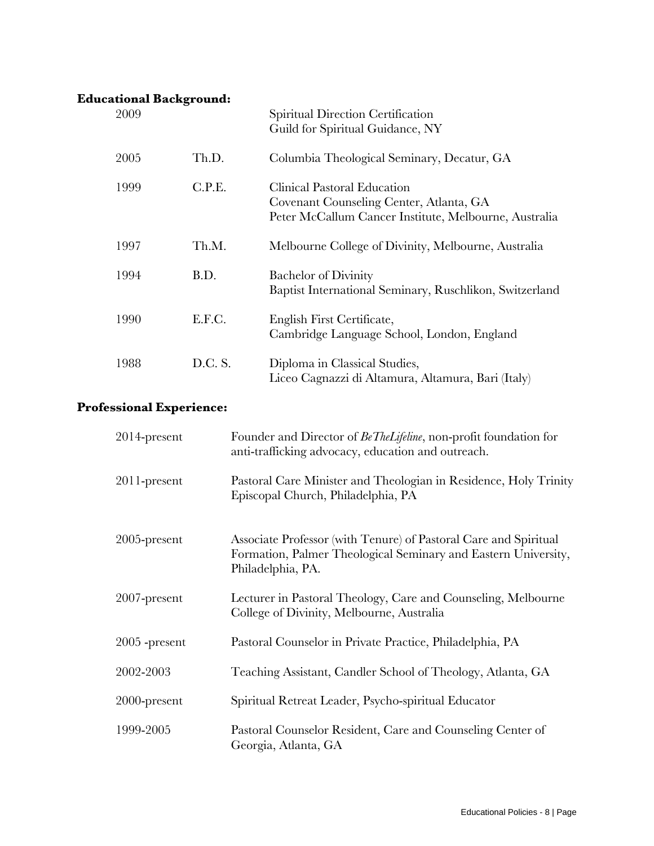# **Educational Background:**

| 2009 |         | Spiritual Direction Certification<br>Guild for Spiritual Guidance, NY                                                           |
|------|---------|---------------------------------------------------------------------------------------------------------------------------------|
| 2005 | Th.D.   | Columbia Theological Seminary, Decatur, GA                                                                                      |
| 1999 | C.P.E.  | Clinical Pastoral Education<br>Covenant Counseling Center, Atlanta, GA<br>Peter McCallum Cancer Institute, Melbourne, Australia |
| 1997 | Th.M.   | Melbourne College of Divinity, Melbourne, Australia                                                                             |
| 1994 | B.D.    | <b>Bachelor of Divinity</b><br>Baptist International Seminary, Ruschlikon, Switzerland                                          |
| 1990 | E.F.C.  | English First Certificate,<br>Cambridge Language School, London, England                                                        |
| 1988 | D.C. S. | Diploma in Classical Studies,<br>Liceo Cagnazzi di Altamura, Altamura, Bari (Italy)                                             |

# **Professional Experience:**

| $2014$ -present | Founder and Director of BeTheLifeline, non-profit foundation for<br>anti-trafficking advocacy, education and outreach.                                  |
|-----------------|---------------------------------------------------------------------------------------------------------------------------------------------------------|
| 2011-present    | Pastoral Care Minister and Theologian in Residence, Holy Trinity<br>Episcopal Church, Philadelphia, PA                                                  |
| $2005$ -present | Associate Professor (with Tenure) of Pastoral Care and Spiritual<br>Formation, Palmer Theological Seminary and Eastern University,<br>Philadelphia, PA. |
| $2007$ -present | Lecturer in Pastoral Theology, Care and Counseling, Melbourne<br>College of Divinity, Melbourne, Australia                                              |
| $2005$ -present | Pastoral Counselor in Private Practice, Philadelphia, PA                                                                                                |
| 2002-2003       | Teaching Assistant, Candler School of Theology, Atlanta, GA                                                                                             |
| $2000$ -present | Spiritual Retreat Leader, Psycho-spiritual Educator                                                                                                     |
| 1999-2005       | Pastoral Counselor Resident, Care and Counseling Center of<br>Georgia, Atlanta, GA                                                                      |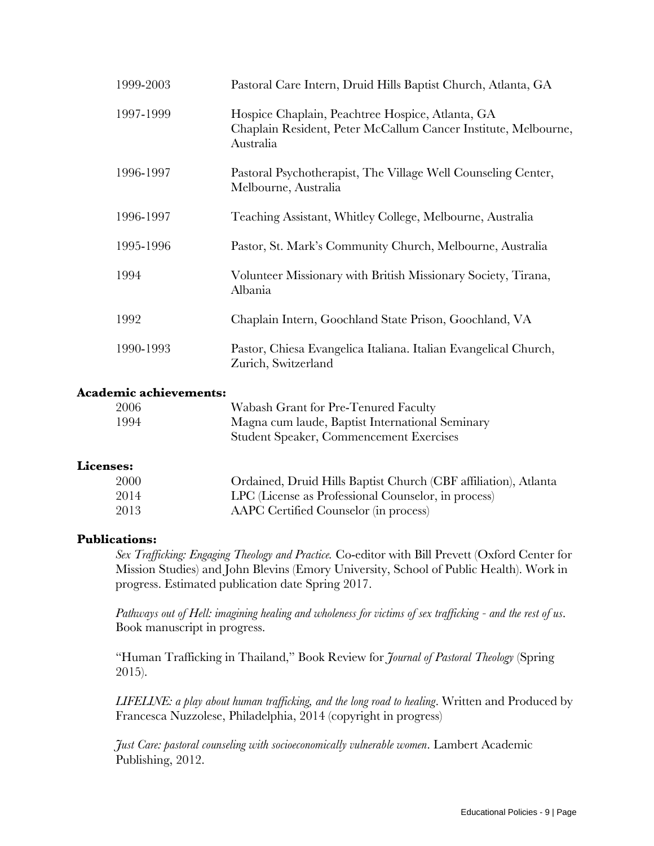| 1999-2003 | Pastoral Care Intern, Druid Hills Baptist Church, Atlanta, GA                                                                   |
|-----------|---------------------------------------------------------------------------------------------------------------------------------|
| 1997-1999 | Hospice Chaplain, Peachtree Hospice, Atlanta, GA<br>Chaplain Resident, Peter McCallum Cancer Institute, Melbourne,<br>Australia |
| 1996-1997 | Pastoral Psychotherapist, The Village Well Counseling Center,<br>Melbourne, Australia                                           |
| 1996-1997 | Teaching Assistant, Whitley College, Melbourne, Australia                                                                       |
| 1995-1996 | Pastor, St. Mark's Community Church, Melbourne, Australia                                                                       |
| 1994      | Volunteer Missionary with British Missionary Society, Tirana,<br>Albania                                                        |
| 1992      | Chaplain Intern, Goochland State Prison, Goochland, VA                                                                          |
| 1990-1993 | Pastor, Chiesa Evangelica Italiana. Italian Evangelical Church,<br>Zurich, Switzerland                                          |

#### **Academic achievements:**

| 2006 | Wabash Grant for Pre-Tenured Faculty            |
|------|-------------------------------------------------|
| 1994 | Magna cum laude, Baptist International Seminary |
|      | Student Speaker, Commencement Exercises         |

#### **Licenses:**

| 2000 | Ordained, Druid Hills Baptist Church (CBF affiliation), Atlanta |
|------|-----------------------------------------------------------------|
| 2014 | LPC (License as Professional Counselor, in process)             |
| 2013 | AAPC Certified Counselor (in process)                           |

#### **Publications:**

*Sex Trafficking: Engaging Theology and Practice.* Co-editor with Bill Prevett (Oxford Center for Mission Studies) and John Blevins (Emory University, School of Public Health). Work in progress. Estimated publication date Spring 2017.

*Pathways out of Hell: imagining healing and wholeness for victims of sex trafficking - and the rest of us*. Book manuscript in progress.

"Human Trafficking in Thailand," Book Review for *Journal of Pastoral Theology* (Spring 2015).

*LIFELINE: a play about human trafficking, and the long road to healing*. Written and Produced by Francesca Nuzzolese, Philadelphia, 2014 (copyright in progress)

*Just Care: pastoral counseling with socioeconomically vulnerable women*. Lambert Academic Publishing, 2012.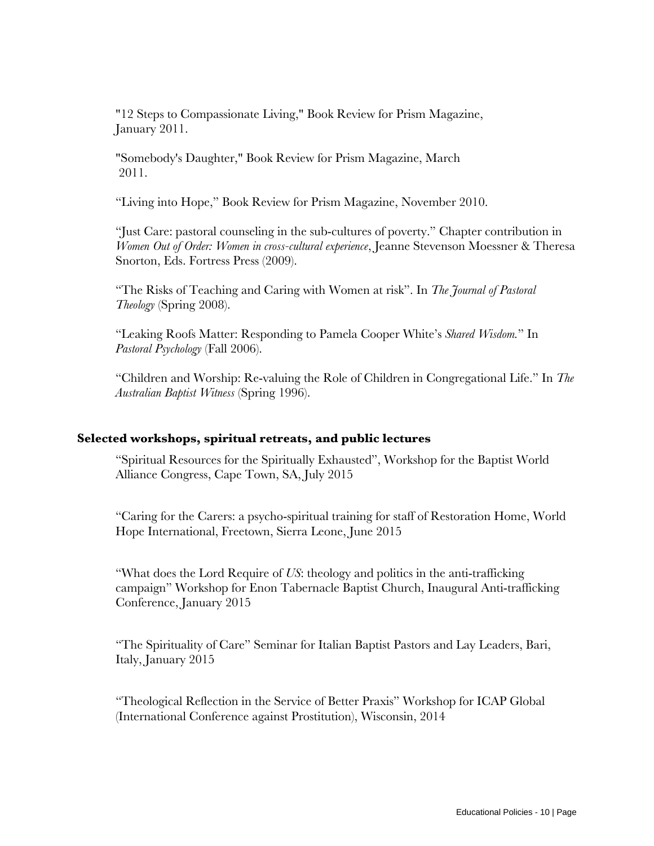"12 Steps to Compassionate Living," Book Review for Prism Magazine, January 2011.

 "Somebody's Daughter," Book Review for Prism Magazine, March 2011.

"Living into Hope," Book Review for Prism Magazine, November 2010.

"Just Care: pastoral counseling in the sub-cultures of poverty." Chapter contribution in *Women Out of Order: Women in cross-cultural experience*, Jeanne Stevenson Moessner & Theresa Snorton, Eds. Fortress Press (2009).

"The Risks of Teaching and Caring with Women at risk". In *The Journal of Pastoral Theology* (Spring 2008).

"Leaking Roofs Matter: Responding to Pamela Cooper White's *Shared Wisdom.*" In *Pastoral Psychology* (Fall 2006).

"Children and Worship: Re-valuing the Role of Children in Congregational Life." In *The Australian Baptist Witness* (Spring 1996).

#### **Selected workshops, spiritual retreats, and public lectures**

"Spiritual Resources for the Spiritually Exhausted", Workshop for the Baptist World Alliance Congress, Cape Town, SA, July 2015

"Caring for the Carers: a psycho-spiritual training for staff of Restoration Home, World Hope International, Freetown, Sierra Leone, June 2015

"What does the Lord Require of *US*: theology and politics in the anti-trafficking campaign" Workshop for Enon Tabernacle Baptist Church, Inaugural Anti-trafficking Conference, January 2015

"The Spirituality of Care" Seminar for Italian Baptist Pastors and Lay Leaders, Bari, Italy, January 2015

"Theological Reflection in the Service of Better Praxis" Workshop for ICAP Global (International Conference against Prostitution), Wisconsin, 2014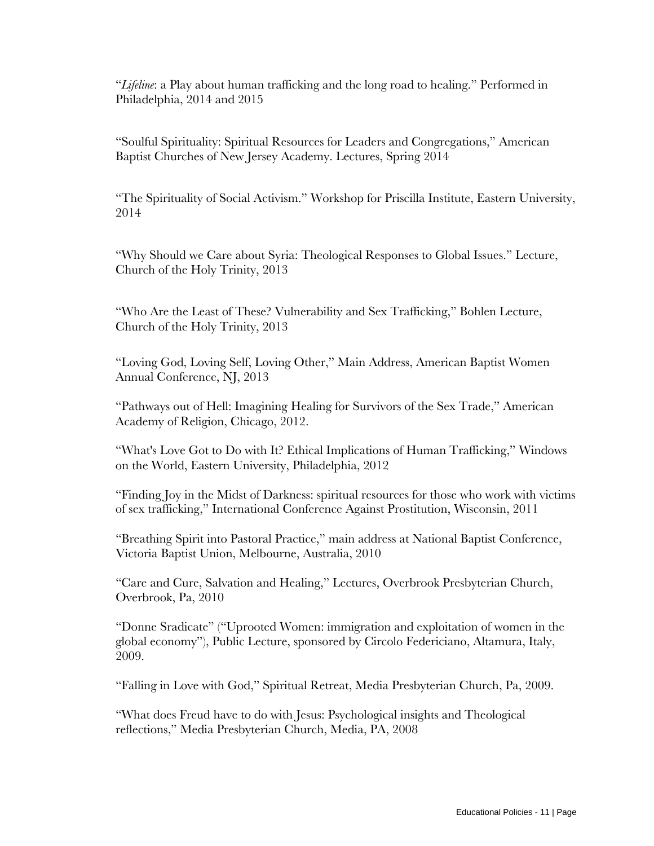"*Lifeline*: a Play about human trafficking and the long road to healing." Performed in Philadelphia, 2014 and 2015

"Soulful Spirituality: Spiritual Resources for Leaders and Congregations," American Baptist Churches of New Jersey Academy. Lectures, Spring 2014

"The Spirituality of Social Activism." Workshop for Priscilla Institute, Eastern University, 2014

"Why Should we Care about Syria: Theological Responses to Global Issues." Lecture, Church of the Holy Trinity, 2013

"Who Are the Least of These? Vulnerability and Sex Trafficking," Bohlen Lecture, Church of the Holy Trinity, 2013

"Loving God, Loving Self, Loving Other," Main Address, American Baptist Women Annual Conference, NJ, 2013

"Pathways out of Hell: Imagining Healing for Survivors of the Sex Trade," American Academy of Religion, Chicago, 2012.

"What's Love Got to Do with It? Ethical Implications of Human Trafficking," Windows on the World, Eastern University, Philadelphia, 2012

"Finding Joy in the Midst of Darkness: spiritual resources for those who work with victims of sex trafficking," International Conference Against Prostitution, Wisconsin, 2011

"Breathing Spirit into Pastoral Practice," main address at National Baptist Conference, Victoria Baptist Union, Melbourne, Australia, 2010

"Care and Cure, Salvation and Healing," Lectures, Overbrook Presbyterian Church, Overbrook, Pa, 2010

"Donne Sradicate" ("Uprooted Women: immigration and exploitation of women in the global economy"), Public Lecture, sponsored by Circolo Federiciano, Altamura, Italy, 2009.

"Falling in Love with God," Spiritual Retreat, Media Presbyterian Church, Pa, 2009.

"What does Freud have to do with Jesus: Psychological insights and Theological reflections," Media Presbyterian Church, Media, PA, 2008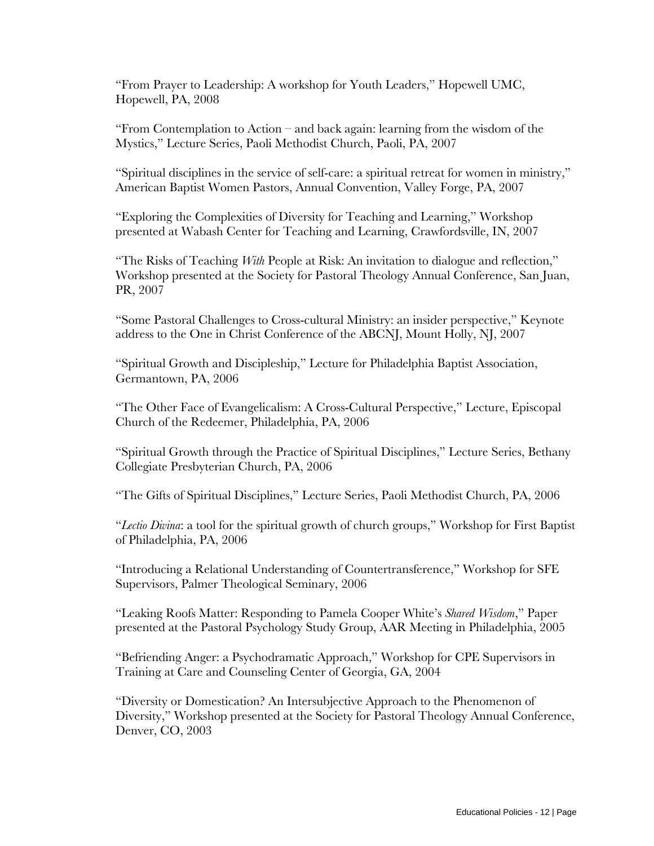"From Prayer to Leadership: A workshop for Youth Leaders," Hopewell UMC, Hopewell, PA, 2008

"From Contemplation to Action – and back again: learning from the wisdom of the Mystics," Lecture Series, Paoli Methodist Church, Paoli, PA, 2007

"Spiritual disciplines in the service of self-care: a spiritual retreat for women in ministry," American Baptist Women Pastors, Annual Convention, Valley Forge, PA, 2007

"Exploring the Complexities of Diversity for Teaching and Learning," Workshop presented at Wabash Center for Teaching and Learning, Crawfordsville, IN, 2007

"The Risks of Teaching *With* People at Risk: An invitation to dialogue and reflection," Workshop presented at the Society for Pastoral Theology Annual Conference, San Juan, PR, 2007

"Some Pastoral Challenges to Cross-cultural Ministry: an insider perspective," Keynote address to the One in Christ Conference of the ABCNJ, Mount Holly, NJ, 2007

"Spiritual Growth and Discipleship," Lecture for Philadelphia Baptist Association, Germantown, PA, 2006

"The Other Face of Evangelicalism: A Cross-Cultural Perspective," Lecture, Episcopal Church of the Redeemer, Philadelphia, PA, 2006

"Spiritual Growth through the Practice of Spiritual Disciplines," Lecture Series, Bethany Collegiate Presbyterian Church, PA, 2006

"The Gifts of Spiritual Disciplines," Lecture Series, Paoli Methodist Church, PA, 2006

"*Lectio Divina*: a tool for the spiritual growth of church groups," Workshop for First Baptist of Philadelphia, PA, 2006

"Introducing a Relational Understanding of Countertransference," Workshop for SFE Supervisors, Palmer Theological Seminary, 2006

"Leaking Roofs Matter: Responding to Pamela Cooper White's *Shared Wisdom*," Paper presented at the Pastoral Psychology Study Group, AAR Meeting in Philadelphia, 2005

"Befriending Anger: a Psychodramatic Approach," Workshop for CPE Supervisors in Training at Care and Counseling Center of Georgia, GA, 2004

"Diversity or Domestication? An Intersubjective Approach to the Phenomenon of Diversity," Workshop presented at the Society for Pastoral Theology Annual Conference, Denver, CO, 2003